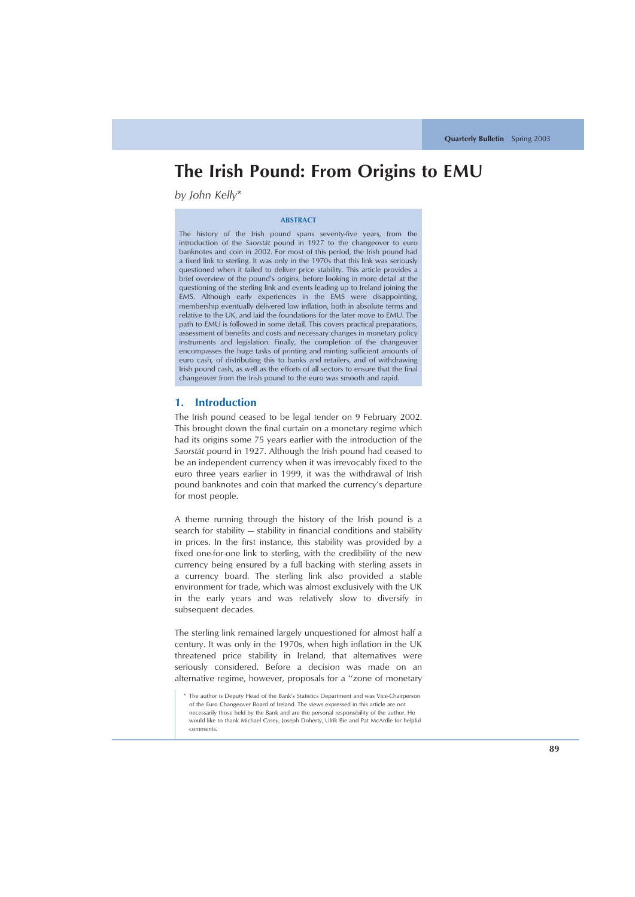# **The Irish Pound: From Origins to EMU**

*by John Kelly*\*

#### **ABSTRACT**

The history of the Irish pound spans seventy-five years, from the introduction of the *Saorsta´t* pound in 1927 to the changeover to euro banknotes and coin in 2002. For most of this period, the Irish pound had a fixed link to sterling. It was only in the 1970s that this link was seriously questioned when it failed to deliver price stability. This article provides a brief overview of the pound's origins, before looking in more detail at the questioning of the sterling link and events leading up to Ireland joining the EMS. Although early experiences in the EMS were disappointing, membership eventually delivered low inflation, both in absolute terms and relative to the UK, and laid the foundations for the later move to EMU. The path to EMU is followed in some detail. This covers practical preparations, assessment of benefits and costs and necessary changes in monetary policy instruments and legislation. Finally, the completion of the changeover encompasses the huge tasks of printing and minting sufficient amounts of euro cash, of distributing this to banks and retailers, and of withdrawing Irish pound cash, as well as the efforts of all sectors to ensure that the final changeover from the Irish pound to the euro was smooth and rapid.

# **1. Introduction**

The Irish pound ceased to be legal tender on 9 February 2002. This brought down the final curtain on a monetary regime which had its origins some 75 years earlier with the introduction of the *Saorsta´t* pound in 1927. Although the Irish pound had ceased to be an independent currency when it was irrevocably fixed to the euro three years earlier in 1999, it was the withdrawal of Irish pound banknotes and coin that marked the currency's departure for most people.

A theme running through the history of the Irish pound is a search for stability — stability in financial conditions and stability in prices. In the first instance, this stability was provided by a fixed one-for-one link to sterling, with the credibility of the new currency being ensured by a full backing with sterling assets in a currency board. The sterling link also provided a stable environment for trade, which was almost exclusively with the UK in the early years and was relatively slow to diversify in subsequent decades.

The sterling link remained largely unquestioned for almost half a century. It was only in the 1970s, when high inflation in the UK threatened price stability in Ireland, that alternatives were seriously considered. Before a decision was made on an alternative regime, however, proposals for a ''zone of monetary

<sup>\*</sup> The author is Deputy Head of the Bank's Statistics Department and was Vice-Chairperson of the Euro Changeover Board of Ireland. The views expressed in this article are not necessarily those held by the Bank and are the personal responsibility of the author. He would like to thank Michael Casey, Joseph Doherty, Ulrik Bie and Pat McArdle for helpful comments.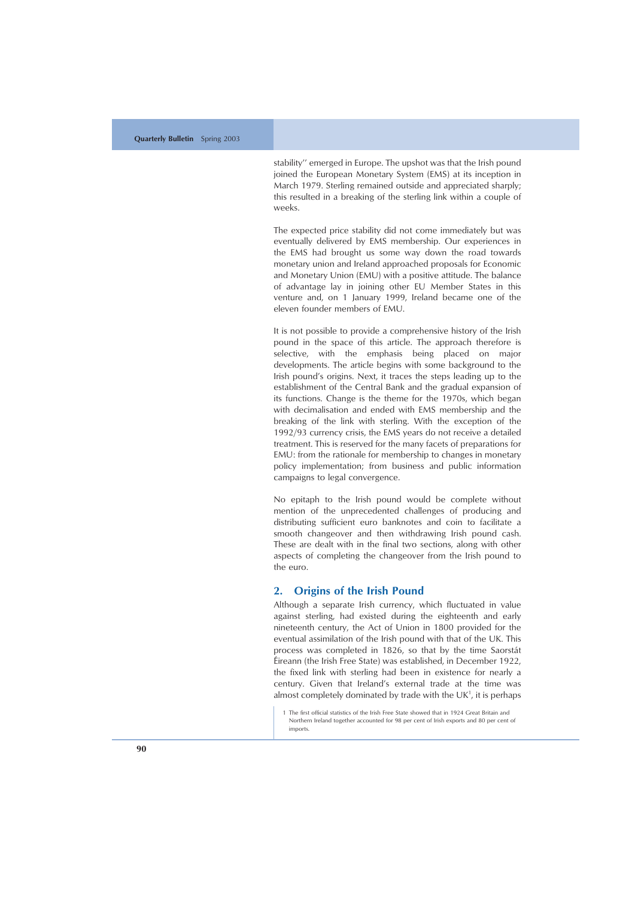stability'' emerged in Europe. The upshot was that the Irish pound joined the European Monetary System (EMS) at its inception in March 1979. Sterling remained outside and appreciated sharply; this resulted in a breaking of the sterling link within a couple of weeks.

The expected price stability did not come immediately but was eventually delivered by EMS membership. Our experiences in the EMS had brought us some way down the road towards monetary union and Ireland approached proposals for Economic and Monetary Union (EMU) with a positive attitude. The balance of advantage lay in joining other EU Member States in this venture and, on 1 January 1999, Ireland became one of the eleven founder members of EMU.

It is not possible to provide a comprehensive history of the Irish pound in the space of this article. The approach therefore is selective, with the emphasis being placed on major developments. The article begins with some background to the Irish pound's origins. Next, it traces the steps leading up to the establishment of the Central Bank and the gradual expansion of its functions. Change is the theme for the 1970s, which began with decimalisation and ended with EMS membership and the breaking of the link with sterling. With the exception of the 1992/93 currency crisis, the EMS years do not receive a detailed treatment. This is reserved for the many facets of preparations for EMU: from the rationale for membership to changes in monetary policy implementation; from business and public information campaigns to legal convergence.

No epitaph to the Irish pound would be complete without mention of the unprecedented challenges of producing and distributing sufficient euro banknotes and coin to facilitate a smooth changeover and then withdrawing Irish pound cash. These are dealt with in the final two sections, along with other aspects of completing the changeover from the Irish pound to the euro.

## **2. Origins of the Irish Pound**

Although a separate Irish currency, which fluctuated in value against sterling, had existed during the eighteenth and early nineteenth century, the Act of Union in 1800 provided for the eventual assimilation of the Irish pound with that of the UK. This process was completed in 1826, so that by the time Saorstát ´Eireann (the Irish Free State) was established, in December 1922, the fixed link with sterling had been in existence for nearly a century. Given that Ireland's external trade at the time was almost completely dominated by trade with the  $UK<sup>1</sup>$ , it is perhaps

<sup>1</sup> The first official statistics of the Irish Free State showed that in 1924 Great Britain and Northern Ireland together accounted for 98 per cent of Irish exports and 80 per cent of imports.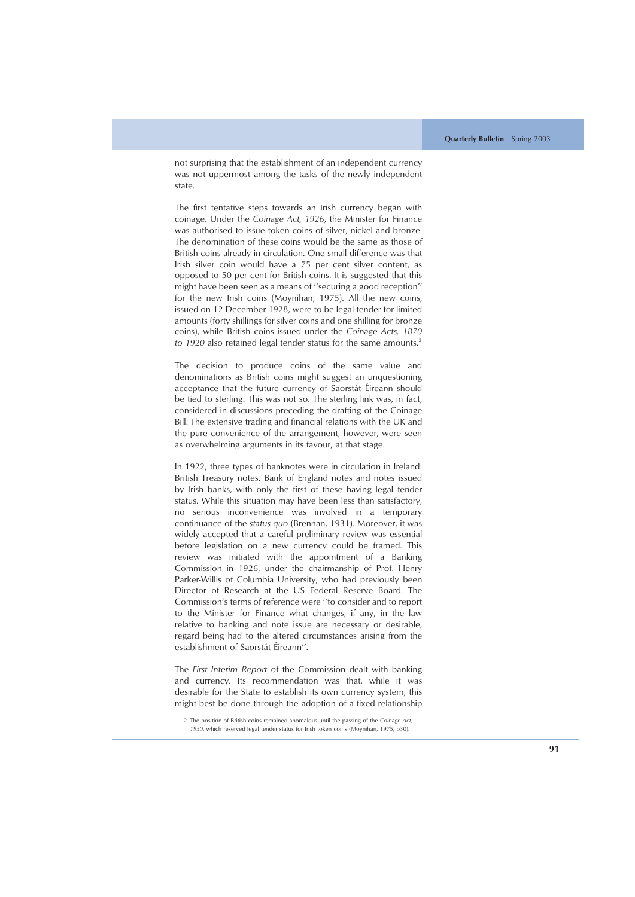not surprising that the establishment of an independent currency was not uppermost among the tasks of the newly independent state.

The first tentative steps towards an Irish currency began with coinage. Under the *Coinage Act, 1926*, the Minister for Finance was authorised to issue token coins of silver, nickel and bronze. The denomination of these coins would be the same as those of British coins already in circulation. One small difference was that Irish silver coin would have a 75 per cent silver content, as opposed to 50 per cent for British coins. It is suggested that this might have been seen as a means of ''securing a good reception'' for the new Irish coins (Moynihan, 1975). All the new coins, issued on 12 December 1928, were to be legal tender for limited amounts (forty shillings for silver coins and one shilling for bronze coins), while British coins issued under the *Coinage Acts, 1870* to 1920 also retained legal tender status for the same amounts.<sup>2</sup>

The decision to produce coins of the same value and denominations as British coins might suggest an unquestioning acceptance that the future currency of Saorstát Éireann should be tied to sterling. This was not so. The sterling link was, in fact, considered in discussions preceding the drafting of the Coinage Bill. The extensive trading and financial relations with the UK and the pure convenience of the arrangement, however, were seen as overwhelming arguments in its favour, at that stage.

In 1922, three types of banknotes were in circulation in Ireland: British Treasury notes, Bank of England notes and notes issued by Irish banks, with only the first of these having legal tender status. While this situation may have been less than satisfactory, no serious inconvenience was involved in a temporary continuance of the *status quo* (Brennan, 1931). Moreover, it was widely accepted that a careful preliminary review was essential before legislation on a new currency could be framed. This review was initiated with the appointment of a Banking Commission in 1926, under the chairmanship of Prof. Henry Parker-Willis of Columbia University, who had previously been Director of Research at the US Federal Reserve Board. The Commission's terms of reference were ''to consider and to report to the Minister for Finance what changes, if any, in the law relative to banking and note issue are necessary or desirable, regard being had to the altered circumstances arising from the establishment of Saorstát Éireann".

The *First Interim Report* of the Commission dealt with banking and currency. Its recommendation was that, while it was desirable for the State to establish its own currency system, this might best be done through the adoption of a fixed relationship

<sup>2</sup> The position of British coins remained anomalous until the passing of the *Coinage Act, 1950*, which reserved legal tender status for Irish token coins (Moynihan, 1975, p30).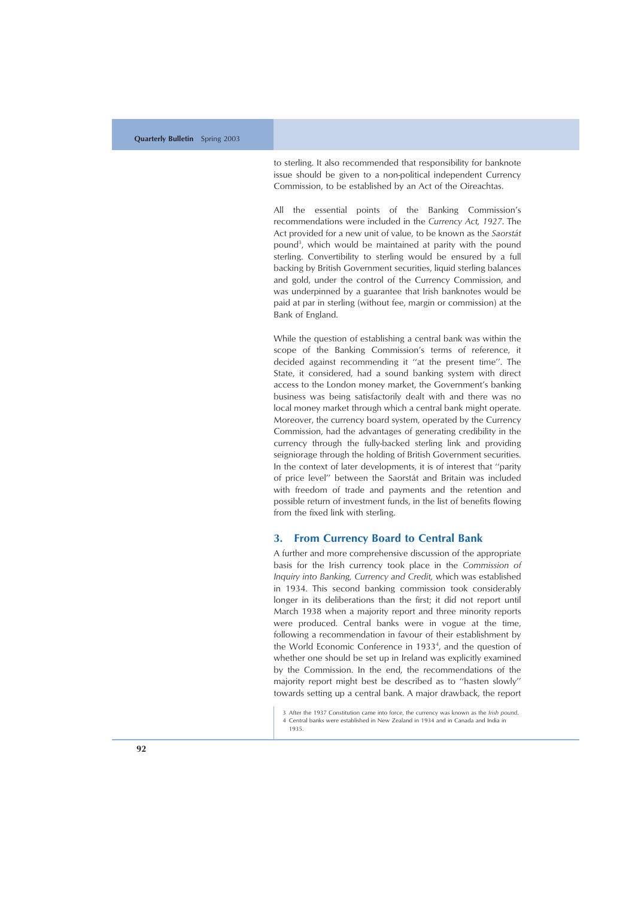to sterling. It also recommended that responsibility for banknote issue should be given to a non-political independent Currency Commission, to be established by an Act of the Oireachtas.

All the essential points of the Banking Commission's recommendations were included in the *Currency Act, 1927*. The Act provided for a new unit of value, to be known as the *Saorsta´ t* pound<sup>3</sup>, which would be maintained at parity with the pound sterling. Convertibility to sterling would be ensured by a full backing by British Government securities, liquid sterling balances and gold, under the control of the Currency Commission, and was underpinned by a guarantee that Irish banknotes would be paid at par in sterling (without fee, margin or commission) at the Bank of England.

While the question of establishing a central bank was within the scope of the Banking Commission's terms of reference, it decided against recommending it ''at the present time''. The State, it considered, had a sound banking system with direct access to the London money market, the Government's banking business was being satisfactorily dealt with and there was no local money market through which a central bank might operate. Moreover, the currency board system, operated by the Currency Commission, had the advantages of generating credibility in the currency through the fully-backed sterling link and providing seigniorage through the holding of British Government securities. In the context of later developments, it is of interest that ''parity of price level" between the Saorstát and Britain was included with freedom of trade and payments and the retention and possible return of investment funds, in the list of benefits flowing from the fixed link with sterling.

## **3. From Currency Board to Central Bank**

A further and more comprehensive discussion of the appropriate basis for the Irish currency took place in the *Commission of Inquiry into Banking, Currency and Credit,* which was established in 1934. This second banking commission took considerably longer in its deliberations than the first; it did not report until March 1938 when a majority report and three minority reports were produced. Central banks were in vogue at the time, following a recommendation in favour of their establishment by the World Economic Conference in 1933 4 , and the question of whether one should be set up in Ireland was explicitly examined by the Commission. In the end, the recommendations of the majority report might best be described as to ''hasten slowly'' towards setting up a central bank. A major drawback, the report

4 Central banks were established in New Zealand in 1934 and in Canada and India in 1935.

<sup>3</sup> After the 1937 Constitution came into force, the currency was known as the *Irish pound* .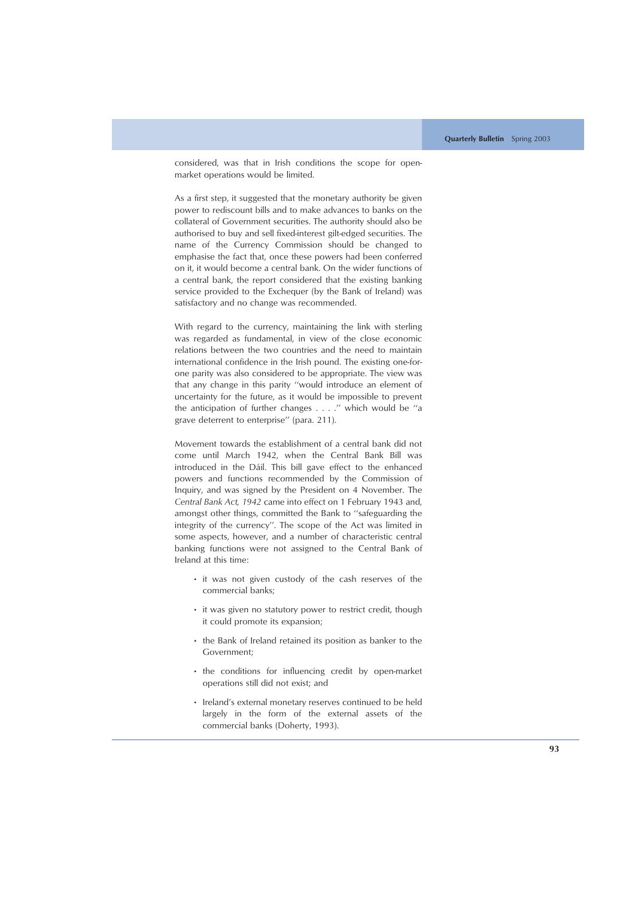considered, was that in Irish conditions the scope for openmarket operations would be limited.

As a first step, it suggested that the monetary authority be given power to rediscount bills and to make advances to banks on the collateral of Government securities. The authority should also be authorised to buy and sell fixed-interest gilt-edged securities. The name of the Currency Commission should be changed to emphasise the fact that, once these powers had been conferred on it, it would become a central bank. On the wider functions of a central bank, the report considered that the existing banking service provided to the Exchequer (by the Bank of Ireland) was satisfactory and no change was recommended.

With regard to the currency, maintaining the link with sterling was regarded as fundamental, in view of the close economic relations between the two countries and the need to maintain international confidence in the Irish pound. The existing one-forone parity was also considered to be appropriate. The view was that any change in this parity ''would introduce an element of uncertainty for the future, as it would be impossible to prevent the anticipation of further changes . . . .'' which would be ''a grave deterrent to enterprise'' (para. 211).

Movement towards the establishment of a central bank did not come until March 1942, when the Central Bank Bill was introduced in the Dáil. This bill gave effect to the enhanced powers and functions recommended by the Commission of Inquiry, and was signed by the President on 4 November. The *Central Bank Act, 1942* came into effect on 1 February 1943 and, amongst other things, committed the Bank to ''safeguarding the integrity of the currency''. The scope of the Act was limited in some aspects, however, and a number of characteristic central banking functions were not assigned to the Central Bank of Ireland at this time:

- it was not given custody of the cash reserves of the commercial banks;
- it was given no statutory power to restrict credit, though it could promote its expansion;
- the Bank of Ireland retained its position as banker to the Government;
- the conditions for influencing credit by open-market operations still did not exist; and
- Ireland's external monetary reserves continued to be held largely in the form of the external assets of the commercial banks (Doherty, 1993).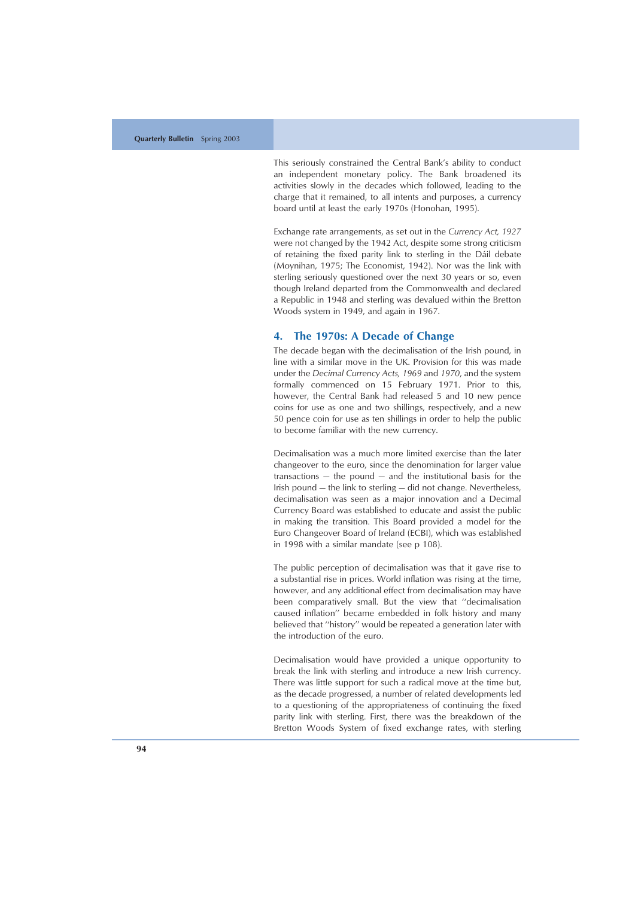This seriously constrained the Central Bank's ability to conduct an independent monetary policy. The Bank broadened its activities slowly in the decades which followed, leading to the charge that it remained, to all intents and purposes, a currency board until at least the early 1970s (Honohan, 1995).

Exchange rate arrangements, as set out in the *Currency Act, 1927* were not changed by the 1942 Act, despite some strong criticism of retaining the fixed parity link to sterling in the Dáil debate (Moynihan, 1975; The Economist, 1942). Nor was the link with sterling seriously questioned over the next 30 years or so, even though Ireland departed from the Commonwealth and declared a Republic in 1948 and sterling was devalued within the Bretton Woods system in 1949, and again in 1967.

## **4. The 1970s: A Decade of Change**

The decade began with the decimalisation of the Irish pound, in line with a similar move in the UK. Provision for this was made under the *Decimal Currency Acts, 1969* and *1970*, and the system formally commenced on 15 February 1971. Prior to this, however, the Central Bank had released 5 and 10 new pence coins for use as one and two shillings, respectively, and a new 50 pence coin for use as ten shillings in order to help the public to become familiar with the new currency.

Decimalisation was a much more limited exercise than the later changeover to the euro, since the denomination for larger value transactions — the pound — and the institutional basis for the Irish pound — the link to sterling — did not change. Nevertheless, decimalisation was seen as a major innovation and a Decimal Currency Board was established to educate and assist the public in making the transition. This Board provided a model for the Euro Changeover Board of Ireland (ECBI), which was established in 1998 with a similar mandate (see p 108).

The public perception of decimalisation was that it gave rise to a substantial rise in prices. World inflation was rising at the time, however, and any additional effect from decimalisation may have been comparatively small. But the view that ''decimalisation caused inflation'' became embedded in folk history and many believed that ''history'' would be repeated a generation later with the introduction of the euro.

Decimalisation would have provided a unique opportunity to break the link with sterling and introduce a new Irish currency. There was little support for such a radical move at the time but, as the decade progressed, a number of related developments led to a questioning of the appropriateness of continuing the fixed parity link with sterling. First, there was the breakdown of the Bretton Woods System of fixed exchange rates, with sterling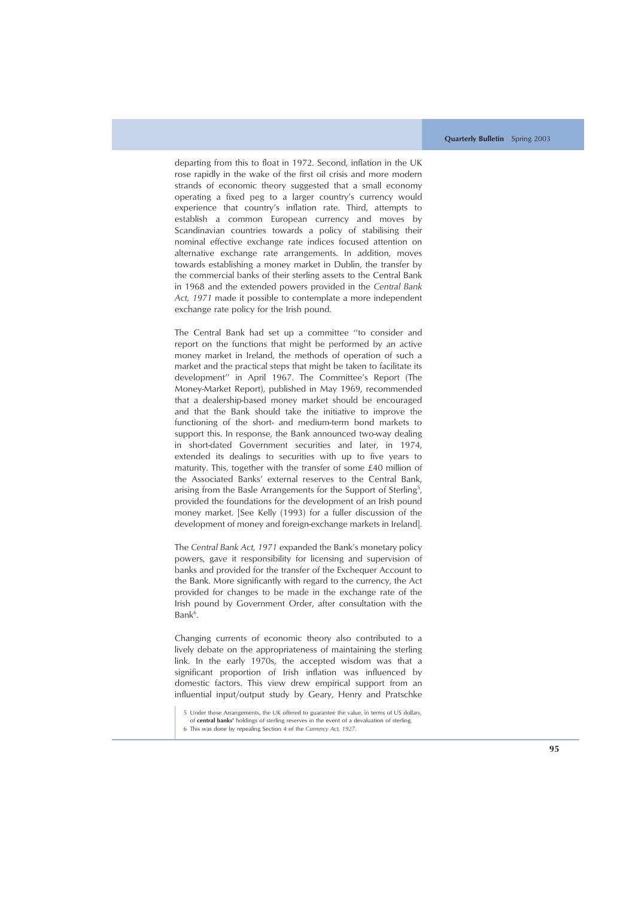departing from this to float in 1972. Second, inflation in the UK rose rapidly in the wake of the first oil crisis and more modern strands of economic theory suggested that a small economy operating a fixed peg to a larger country's currency would experience that country's inflation rate. Third, attempts to establish a common European currency and moves by Scandinavian countries towards a policy of stabilising their nominal effective exchange rate indices focused attention on alternative exchange rate arrangements. In addition, moves towards establishing a money market in Dublin, the transfer by the commercial banks of their sterling assets to the Central Bank in 1968 and the extended powers provided in the *Central Bank Act, 1971* made it possible to contemplate a more independent exchange rate policy for the Irish pound.

The Central Bank had set up a committee ''to consider and report on the functions that might be performed by an active money market in Ireland, the methods of operation of such a market and the practical steps that might be taken to facilitate its development'' in April 1967. The Committee's Report (The Money-Market Report), published in May 1969, recommended that a dealership-based money market should be encouraged and that the Bank should take the initiative to improve the functioning of the short- and medium-term bond markets to support this. In response, the Bank announced two-way dealing in short-dated Government securities and later, in 1974, extended its dealings to securities with up to five years to maturity. This, together with the transfer of some £40 million of the Associated Banks' external reserves to the Central Bank, arising from the Basle Arrangements for the Support of Sterling<sup>5</sup>, provided the foundations for the development of an Irish pound money market. [See Kelly (1993) for a fuller discussion of the development of money and foreign-exchange markets in Ireland].

The *Central Bank Act, 1971* expanded the Bank's monetary policy powers, gave it responsibility for licensing and supervision of banks and provided for the transfer of the Exchequer Account to the Bank. More significantly with regard to the currency, the Act provided for changes to be made in the exchange rate of the Irish pound by Government Order, after consultation with the Bank<sup>6</sup>.

Changing currents of economic theory also contributed to a lively debate on the appropriateness of maintaining the sterling link. In the early 1970s, the accepted wisdom was that a significant proportion of Irish inflation was influenced by domestic factors. This view drew empirical support from an influential input/output study by Geary, Henry and Pratschke

<sup>5</sup> Under these Arrangements, the UK offered to guarantee the value, in terms of US dollars,

of **central banks'** holdings of sterling reserves in the event of a devaluation of sterling.

<sup>6</sup> This was done by repealing Section 4 of the *Currency Act, 1927*.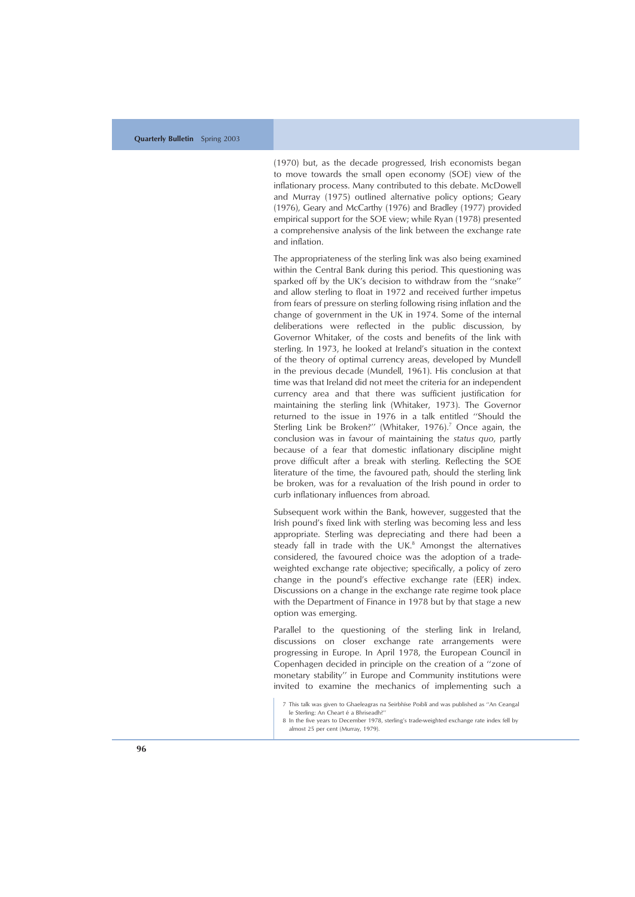(1970) but, as the decade progressed, Irish economists began to move towards the small open economy (SOE) view of the inflationary process. Many contributed to this debate. McDowell and Murray (1975) outlined alternative policy options; Geary (1976), Geary and McCarthy (1976) and Bradley (1977) provided empirical support for the SOE view; while Ryan (1978) presented a comprehensive analysis of the link between the exchange rate and inflation.

The appropriateness of the sterling link was also being examined within the Central Bank during this period. This questioning was sparked off by the UK's decision to withdraw from the ''snake'' and allow sterling to float in 1972 and received further impetus from fears of pressure on sterling following rising inflation and the change of government in the UK in 1974. Some of the internal deliberations were reflected in the public discussion, by Governor Whitaker, of the costs and benefits of the link with sterling. In 1973, he looked at Ireland's situation in the context of the theory of optimal currency areas, developed by Mundell in the previous decade (Mundell, 1961). His conclusion at that time was that Ireland did not meet the criteria for an independent currency area and that there was sufficient justification for maintaining the sterling link (Whitaker, 1973). The Governor returned to the issue in 1976 in a talk entitled ''Should the Sterling Link be Broken?'' (Whitaker, 1976). <sup>7</sup> Once again, the conclusion was in favour of maintaining the *status quo*, partly because of a fear that domestic inflationary discipline might prove difficult after a break with sterling. Reflecting the SOE literature of the time, the favoured path, should the sterling link be broken, was for a revaluation of the Irish pound in order to curb inflationary influences from abroad.

Subsequent work within the Bank, however, suggested that the Irish pound's fixed link with sterling was becoming less and less appropriate. Sterling was depreciating and there had been a steady fall in trade with the UK.<sup>8</sup> Amongst the alternatives considered, the favoured choice was the adoption of a tradeweighted exchange rate objective; specifically, a policy of zero change in the pound's effective exchange rate (EER) index. Discussions on a change in the exchange rate regime took place with the Department of Finance in 1978 but by that stage a new option was emerging.

Parallel to the questioning of the sterling link in Ireland, discussions on closer exchange rate arrangements were progressing in Europe. In April 1978, the European Council in Copenhagen decided in principle on the creation of a ''zone of monetary stability'' in Europe and Community institutions were invited to examine the mechanics of implementing such a

<sup>7</sup> This talk was given to Ghaeleagras na Seirbhíse Poiblí and was published as "An Ceangal le Sterling: An Cheart é a Bhriseadh?"

<sup>8</sup> In the five years to December 1978, sterling's trade-weighted exchange rate index fell by almost 25 per cent (Murray, 1979).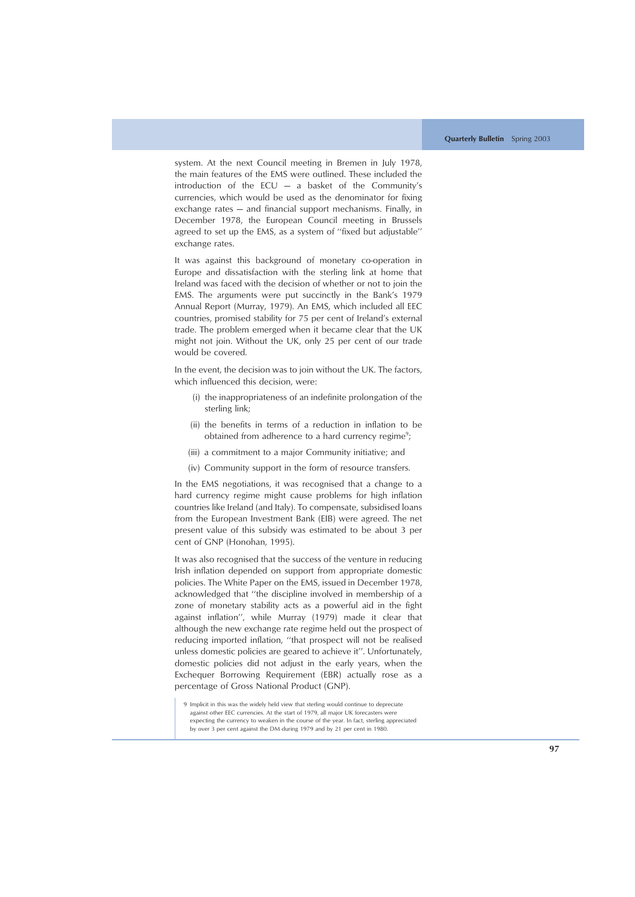system. At the next Council meeting in Bremen in July 1978, the main features of the EMS were outlined. These included the introduction of the  $ECU - a$  basket of the Community's currencies, which would be used as the denominator for fixing exchange rates — and financial support mechanisms. Finally, in December 1978, the European Council meeting in Brussels agreed to set up the EMS, as a system of ''fixed but adjustable'' exchange rates.

It was against this background of monetary co-operation in Europe and dissatisfaction with the sterling link at home that Ireland was faced with the decision of whether or not to join the EMS. The arguments were put succinctly in the Bank's 1979 Annual Report (Murray, 1979). An EMS, which included all EEC countries, promised stability for 75 per cent of Ireland's external trade. The problem emerged when it became clear that the UK might not join. Without the UK, only 25 per cent of our trade would be covered.

In the event, the decision was to join without the UK. The factors, which influenced this decision, were:

- (i) the inappropriateness of an indefinite prolongation of the sterling link;
- (ii) the benefits in terms of a reduction in inflation to be obtained from adherence to a hard currency regime<sup>9</sup>;
- (iii) a commitment to a major Community initiative; and
- (iv) Community support in the form of resource transfers.

In the EMS negotiations, it was recognised that a change to a hard currency regime might cause problems for high inflation countries like Ireland (and Italy). To compensate, subsidised loans from the European Investment Bank (EIB) were agreed. The net present value of this subsidy was estimated to be about 3 per cent of GNP (Honohan, 1995).

It was also recognised that the success of the venture in reducing Irish inflation depended on support from appropriate domestic policies. The White Paper on the EMS, issued in December 1978, acknowledged that ''the discipline involved in membership of a zone of monetary stability acts as a powerful aid in the fight against inflation'', while Murray (1979) made it clear that although the new exchange rate regime held out the prospect of reducing imported inflation, ''that prospect will not be realised unless domestic policies are geared to achieve it''. Unfortunately, domestic policies did not adjust in the early years, when the Exchequer Borrowing Requirement (EBR) actually rose as a percentage of Gross National Product (GNP).

<sup>9</sup> Implicit in this was the widely held view that sterling would continue to depreciate against other EEC currencies. At the start of 1979, all major UK forecasters were expecting the currency to weaken in the course of the year. In fact, sterling appreciated by over 3 per cent against the DM during 1979 and by 21 per cent in 1980.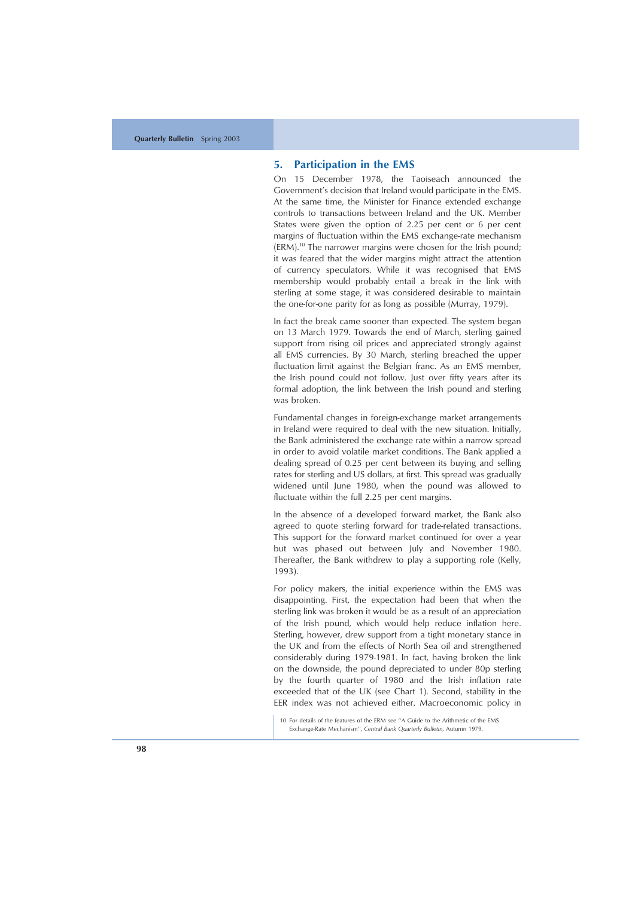## **5. Participation in the EMS**

On 15 December 1978, the Taoiseach announced the Government's decision that Ireland would participate in the EMS. At the same time, the Minister for Finance extended exchange controls to transactions between Ireland and the UK. Member States were given the option of 2.25 per cent or 6 per cent margins of fluctuation within the EMS exchange-rate mechanism  $(ERM).<sup>10</sup>$  The narrower margins were chosen for the Irish pound; it was feared that the wider margins might attract the attention of currency speculators. While it was recognised that EMS membership would probably entail a break in the link with sterling at some stage, it was considered desirable to maintain the one-for-one parity for as long as possible (Murray, 1979).

In fact the break came sooner than expected. The system began on 13 March 1979. Towards the end of March, sterling gained support from rising oil prices and appreciated strongly against all EMS currencies. By 30 March, sterling breached the upper fluctuation limit against the Belgian franc. As an EMS member, the Irish pound could not follow. Just over fifty years after its formal adoption, the link between the Irish pound and sterling was broken.

Fundamental changes in foreign-exchange market arrangements in Ireland were required to deal with the new situation. Initially, the Bank administered the exchange rate within a narrow spread in order to avoid volatile market conditions. The Bank applied a dealing spread of 0.25 per cent between its buying and selling rates for sterling and US dollars, at first. This spread was gradually widened until June 1980, when the pound was allowed to fluctuate within the full 2.25 per cent margins.

In the absence of a developed forward market, the Bank also agreed to quote sterling forward for trade-related transactions. This support for the forward market continued for over a year but was phased out between July and November 1980. Thereafter, the Bank withdrew to play a supporting role (Kelly, 1993).

For policy makers, the initial experience within the EMS was disappointing. First, the expectation had been that when the sterling link was broken it would be as a result of an appreciation of the Irish pound, which would help reduce inflation here. Sterling, however, drew support from a tight monetary stance in the UK and from the effects of North Sea oil and strengthened considerably during 1979-1981. In fact, having broken the link on the downside, the pound depreciated to under 80p sterling by the fourth quarter of 1980 and the Irish inflation rate exceeded that of the UK (see Chart 1). Second, stability in the EER index was not achieved either. Macroeconomic policy in

<sup>10</sup> For details of the features of the ERM see ''A Guide to the Arithmetic of the EMS Exchange-Rate Mechanism'', *Central Bank Quarterly Bulletin,* Autumn 1979.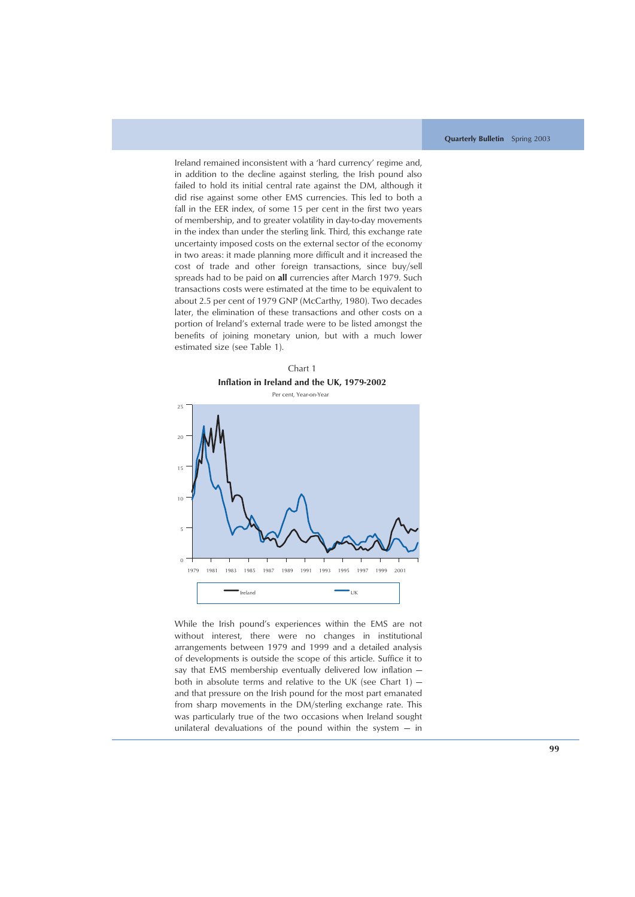Ireland remained inconsistent with a 'hard currency' regime and, in addition to the decline against sterling, the Irish pound also failed to hold its initial central rate against the DM, although it did rise against some other EMS currencies. This led to both a fall in the EER index, of some 15 per cent in the first two years of membership, and to greater volatility in day-to-day movements in the index than under the sterling link. Third, this exchange rate uncertainty imposed costs on the external sector of the economy in two areas: it made planning more difficult and it increased the cost of trade and other foreign transactions, since buy/sell spreads had to be paid on **all** currencies after March 1979. Such transactions costs were estimated at the time to be equivalent to about 2.5 per cent of 1979 GNP (McCarthy, 1980). Two decades later, the elimination of these transactions and other costs on a portion of Ireland's external trade were to be listed amongst the benefits of joining monetary union, but with a much lower estimated size (see Table 1).





While the Irish pound's experiences within the EMS are not without interest, there were no changes in institutional arrangements between 1979 and 1999 and a detailed analysis of developments is outside the scope of this article. Suffice it to say that EMS membership eventually delivered low inflation both in absolute terms and relative to the UK (see Chart  $1$ )  $$ and that pressure on the Irish pound for the most part emanated from sharp movements in the DM/sterling exchange rate. This was particularly true of the two occasions when Ireland sought unilateral devaluations of the pound within the system  $-$  in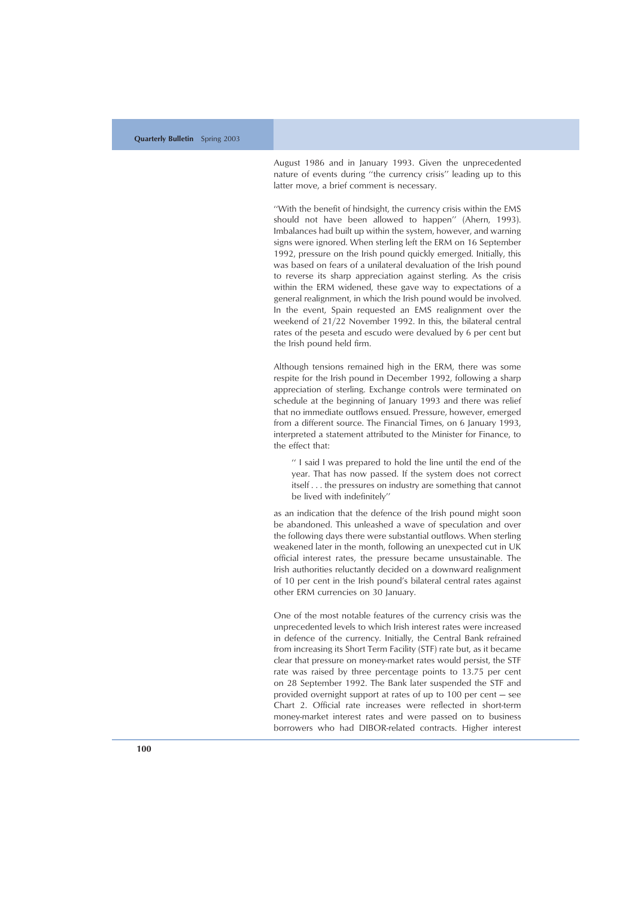August 1986 and in January 1993. Given the unprecedented nature of events during ''the currency crisis'' leading up to this latter move, a brief comment is necessary.

''With the benefit of hindsight, the currency crisis within the EMS should not have been allowed to happen'' (Ahern, 1993). Imbalances had built up within the system, however, and warning signs were ignored. When sterling left the ERM on 16 September 1992, pressure on the Irish pound quickly emerged. Initially, this was based on fears of a unilateral devaluation of the Irish pound to reverse its sharp appreciation against sterling. As the crisis within the ERM widened, these gave way to expectations of a general realignment, in which the Irish pound would be involved. In the event, Spain requested an EMS realignment over the weekend of 21/22 November 1992. In this, the bilateral central rates of the peseta and escudo were devalued by 6 per cent but the Irish pound held firm.

Although tensions remained high in the ERM, there was some respite for the Irish pound in December 1992, following a sharp appreciation of sterling. Exchange controls were terminated on schedule at the beginning of January 1993 and there was relief that no immediate outflows ensued. Pressure, however, emerged from a different source. The Financial Times, on 6 January 1993, interpreted a statement attributed to the Minister for Finance, to the effect that:

'' I said I was prepared to hold the line until the end of the year. That has now passed. If the system does not correct itself . . . the pressures on industry are something that cannot be lived with indefinitely''

as an indication that the defence of the Irish pound might soon be abandoned. This unleashed a wave of speculation and over the following days there were substantial outflows. When sterling weakened later in the month, following an unexpected cut in UK official interest rates, the pressure became unsustainable. The Irish authorities reluctantly decided on a downward realignment of 10 per cent in the Irish pound 's bilateral central rates against other ERM currencies on 30 January.

One of the most notable features of the currency crisis was the unprecedented levels to which Irish interest rates were increased in defence of the currency. Initially, the Central Bank refrained from increasing its Short Term Facility (STF) rate but, as it became clear that pressure on money-market rates would persist, the STF rate was raised by three percentage points to 13.75 per cent on 28 September 1992. The Bank later suspended the STF and provided overnight support at rates of up to 100 per cent — see Chart 2. Official rate increases were reflected in short-term money-market interest rates and were passed on to business borrowers who had DIBOR-related contracts. Higher interest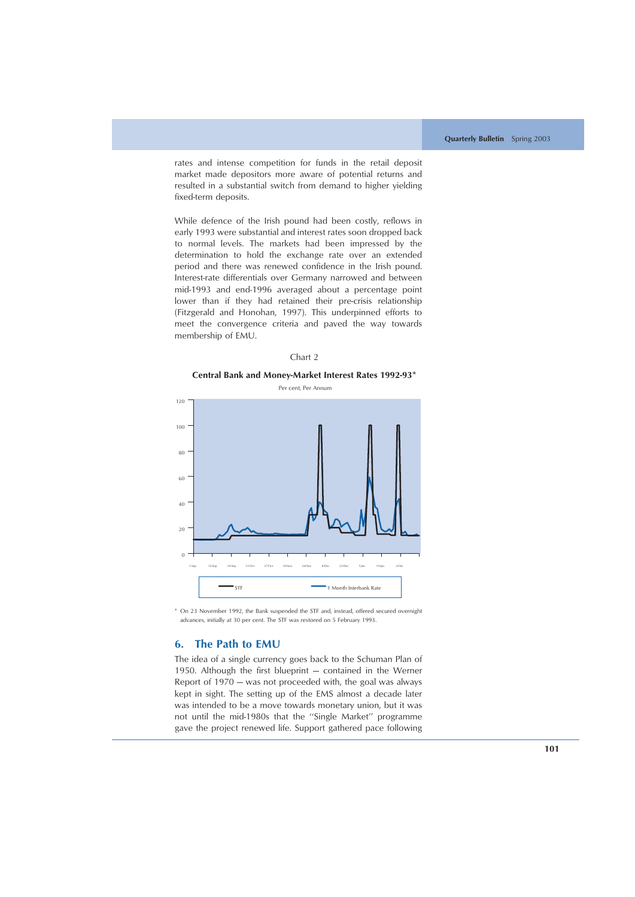rates and intense competition for funds in the retail deposit market made depositors more aware of potential returns and resulted in a substantial switch from demand to higher yielding fixed-term deposits.

While defence of the Irish pound had been costly, reflows in early 1993 were substantial and interest rates soon dropped back to normal levels. The markets had been impressed by the determination to hold the exchange rate over an extended period and there was renewed confidence in the Irish pound. Interest-rate differentials over Germany narrowed and between mid-1993 and end-1996 averaged about a percentage point lower than if they had retained their pre-crisis relationship (Fitzgerald and Honohan, 1997). This underpinned efforts to meet the convergence criteria and paved the way towards membership of EMU.

#### Chart 2

#### **Central Bank and Money-Market Interest Rates 1992-93\***



\* On 23 November 1992, the Bank suspended the STF and, instead, offered secured overnight advances, initially at 30 per cent. The STF was restored on 5 February 1993.

## **6. The Path to EMU**

The idea of a single currency goes back to the Schuman Plan of 1950. Although the first blueprint — contained in the Werner Report of 1970 — was not proceeded with, the goal was always kept in sight. The setting up of the EMS almost a decade later was intended to be a move towards monetary union, but it was not until the mid-1980s that the ''Single Market'' programme gave the project renewed life. Support gathered pace following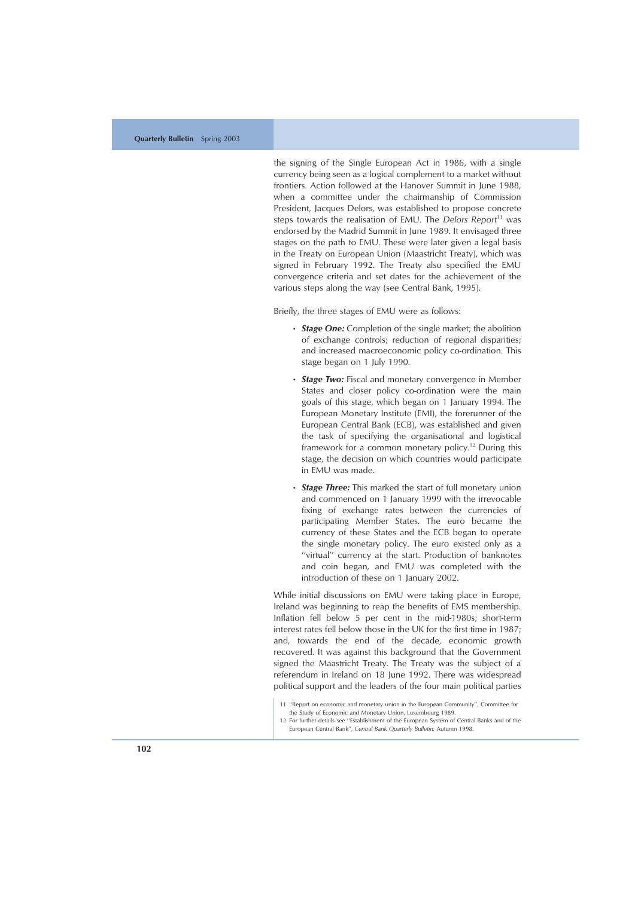the signing of the Single European Act in 1986, with a single currency being seen as a logical complement to a market without frontiers. Action followed at the Hanover Summit in June 1988, when a committee under the chairmanship of Commission President, Jacques Delors, was established to propose concrete steps towards the realisation of EMU. The *Delors Report*<sup>11</sup> was endorsed by the Madrid Summit in June 1989. It envisaged three stages on the path to EMU. These were later given a legal basis in the Treaty on European Union (Maastricht Treaty), which was signed in February 1992. The Treaty also specified the EMU convergence criteria and set dates for the achievement of the various steps along the way (see Central Bank, 1995).

Briefly, the three stages of EMU were as follows:

- *Stage One:* Completion of the single market; the abolition of exchange controls; reduction of regional disparities; and increased macroeconomic policy co-ordination. This stage began on 1 July 1990.
- *Stage Two:* Fiscal and monetary convergence in Member States and closer policy co-ordination were the main goals of this stage, which began on 1 January 1994. The European Monetary Institute (EMI), the forerunner of the European Central Bank (ECB), was established and given the task of specifying the organisational and logistical framework for a common monetary policy.<sup>12</sup> During this stage, the decision on which countries would participate in EMU was made.
- *Stage Three:* This marked the start of full monetary union and commenced on 1 January 1999 with the irrevocable fixing of exchange rates between the currencies of participating Member States. The euro became the currency of these States and the ECB began to operate the single monetary policy. The euro existed only as a ''virtual'' currency at the start. Production of banknotes and coin began, and EMU was completed with the introduction of these on 1 January 2002.

While initial discussions on EMU were taking place in Europe, Ireland was beginning to reap the benefits of EMS membership. Inflation fell below 5 per cent in the mid-1980s; short-term interest rates fell below those in the UK for the first time in 1987; and, towards the end of the decade, economic growth recovered. It was against this background that the Government signed the Maastricht Treaty. The Treaty was the subject of a referendum in Ireland on 18 June 1992. There was widespread political support and the leaders of the four main political parties

<sup>11</sup> ''Report on economic and monetary union in the European Community'', Committee for the Study of Economic and Monetary Union, Luxembourg 1989.

<sup>12</sup> For further details see ''Establishment of the European System of Central Banks and of the European Central Bank'' , *Central Bank Quarterly Bulletin,* Autumn 1998.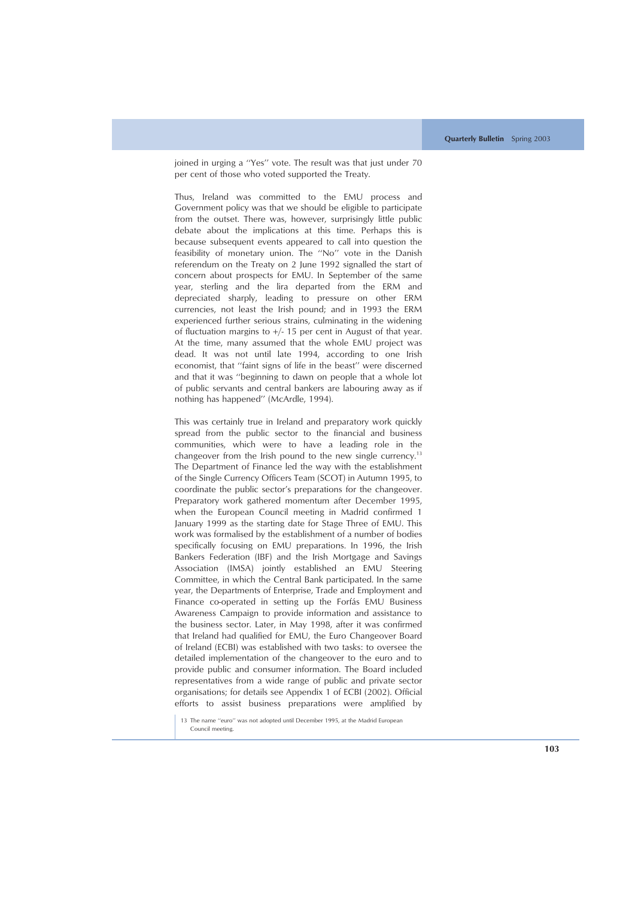joined in urging a ''Yes'' vote. The result was that just under 70 per cent of those who voted supported the Treaty.

Thus, Ireland was committed to the EMU process and Government policy was that we should be eligible to participate from the outset. There was, however, surprisingly little public debate about the implications at this time. Perhaps this is because subsequent events appeared to call into question the feasibility of monetary union. The ''No'' vote in the Danish referendum on the Treaty on 2 June 1992 signalled the start of concern about prospects for EMU. In September of the same year, sterling and the lira departed from the ERM and depreciated sharply, leading to pressure on other ERM currencies, not least the Irish pound; and in 1993 the ERM experienced further serious strains, culminating in the widening of fluctuation margins to  $+/- 15$  per cent in August of that year. At the time, many assumed that the whole EMU project was dead. It was not until late 1994, according to one Irish economist, that ''faint signs of life in the beast'' were discerned and that it was ''beginning to dawn on people that a whole lot of public servants and central bankers are labouring away as if nothing has happened'' (McArdle, 1994).

This was certainly true in Ireland and preparatory work quickly spread from the public sector to the financial and business communities, which were to have a leading role in the changeover from the Irish pound to the new single currency.<sup>13</sup> The Department of Finance led the way with the establishment of the Single Currency Officers Team (SCOT) in Autumn 1995, to coordinate the public sector's preparations for the changeover. Preparatory work gathered momentum after December 1995, when the European Council meeting in Madrid confirmed 1 January 1999 as the starting date for Stage Three of EMU. This work was formalised by the establishment of a number of bodies specifically focusing on EMU preparations. In 1996, the Irish Bankers Federation (IBF) and the Irish Mortgage and Savings Association (IMSA) jointly established an EMU Steering Committee, in which the Central Bank participated. In the same year, the Departments of Enterprise, Trade and Employment and Finance co-operated in setting up the Forfás EMU Business Awareness Campaign to provide information and assistance to the business sector. Later, in May 1998, after it was confirmed that Ireland had qualified for EMU, the Euro Changeover Board of Ireland (ECBI) was established with two tasks: to oversee the detailed implementation of the changeover to the euro and to provide public and consumer information. The Board included representatives from a wide range of public and private sector organisations; for details see Appendix 1 of ECBI (2002). Official efforts to assist business preparations were amplified by

<sup>13</sup> The name ''euro'' was not adopted until December 1995, at the Madrid European Council meeting.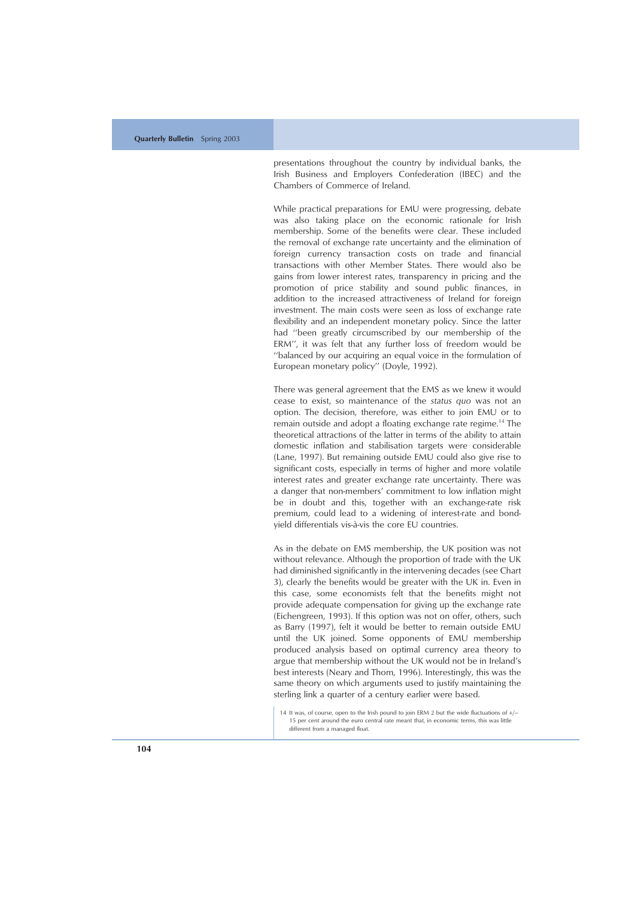presentations throughout the country by individual banks, the Irish Business and Employers Confederation (IBEC) and the Chambers of Commerce of Ireland.

While practical preparations for EMU were progressing, debate was also taking place on the economic rationale for Irish membership. Some of the benefits were clear. These included the removal of exchange rate uncertainty and the elimination of foreign currency transaction costs on trade and financial transactions with other Member States. There would also be gains from lower interest rates, transparency in pricing and the promotion of price stability and sound public finances, in addition to the increased attractiveness of Ireland for foreign investment. The main costs were seen as loss of exchange rate flexibility and an independent monetary policy. Since the latter had ''been greatly circumscribed by our membership of the ERM'', it was felt that any further loss of freedom would be ''balanced by our acquiring an equal voice in the formulation of European monetary policy'' (Doyle, 1992).

There was general agreement that the EMS as we knew it would cease to exist, so maintenance of the *status quo* was not an option. The decision, therefore, was either to join EMU or to remain outside and adopt a floating exchange rate regime.<sup>14</sup> The theoretical attractions of the latter in terms of the ability to attain domestic inflation and stabilisation targets were considerable (Lane, 1997). But remaining outside EMU could also give rise to significant costs, especially in terms of higher and more volatile interest rates and greater exchange rate uncertainty. There was a danger that non-members ' commitment to low inflation might be in doubt and this, together with an exchange-rate risk premium, could lead to a widening of interest-rate and bondyield differentials vis-à-vis the core EU countries.

As in the debate on EMS membership, the UK position was not without relevance. Although the proportion of trade with the UK had diminished significantly in the intervening decades (see Chart 3), clearly the benefits would be greater with the UK in. Even in this case, some economists felt that the benefits might not provide adequate compensation for giving up the exchange rate (Eichengreen, 1993). If this option was not on offer, others, such as Barry (1997), felt it would be better to remain outside EMU until the UK joined. Some opponents of EMU membership produced analysis based on optimal currency area theory to argue that membership without the UK would not be in Ireland ' s best interests (Neary and Thom, 1996). Interestingly, this was the same theory on which arguments used to justify maintaining the sterling link a quarter of a century earlier were based.

<sup>14</sup> It was, of course, open to the Irish pound to join ERM 2 but the wide fluctuations of  $+/-$ 15 per cent around the euro central rate meant that, in economic terms, this was little different from a managed float.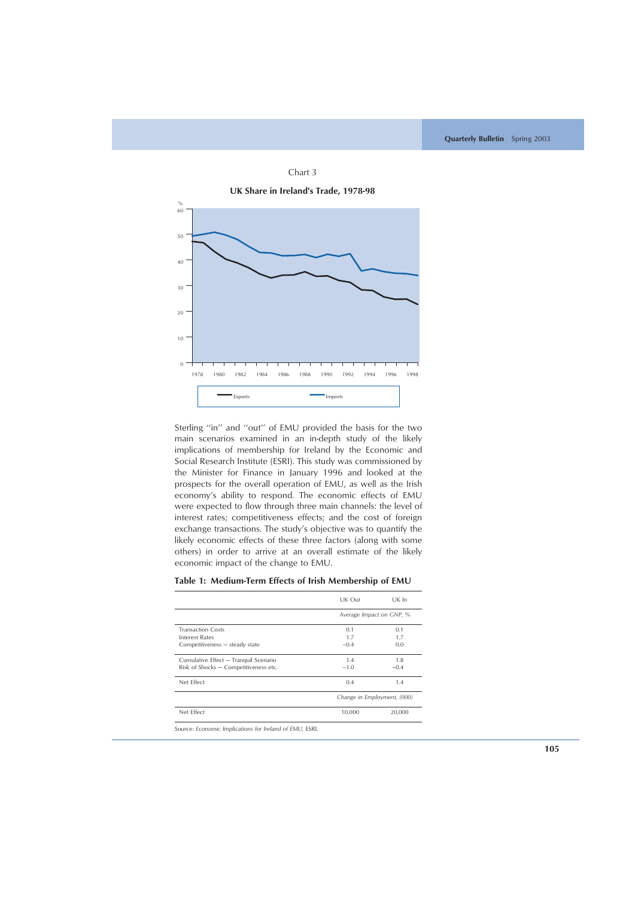

Sterling ''in'' and ''out'' of EMU provided the basis for the two main scenarios examined in an in-depth study of the likely implications of membership for Ireland by the Economic and Social Research Institute (ESRI). This study was commissioned by the Minister for Finance in January 1996 and looked at the prospects for the overall operation of EMU, as well as the Irish economy's ability to respond. The economic effects of EMU were expected to flow through three main channels: the level of interest rates; competitiveness effects; and the cost of foreign exchange transactions. The study's objective was to quantify the likely economic effects of these three factors (along with some others) in order to arrive at an overall estimate of the likely economic impact of the change to EMU.

|                                                                                | UK Out                      | UK In             |
|--------------------------------------------------------------------------------|-----------------------------|-------------------|
|                                                                                | Average Impact on GNP, %    |                   |
| <b>Transaction Costs</b><br>Interest Rates<br>Competitiveness - steady state   | 0.1<br>1.7<br>$-0.4$        | 0.1<br>1.7<br>0.0 |
| Cumulative Effect - Tranquil Scenario<br>Risk of Shocks - Competitiveness etc. | 1.4<br>$-1.0$               | 1.8<br>$-0.4$     |
| Net Effect                                                                     | 0.4                         | 1.4               |
|                                                                                | Change in Employment, (000) |                   |
| Net Effect                                                                     | 10,000                      | 20,000            |
| Source: Economic Implications for Ireland of EMU, ESRI.                        |                             |                   |

| Table 1: Medium-Term Effects of Irish Membership of EMU |  |  |  |  |  |  |  |  |  |  |  |
|---------------------------------------------------------|--|--|--|--|--|--|--|--|--|--|--|
|---------------------------------------------------------|--|--|--|--|--|--|--|--|--|--|--|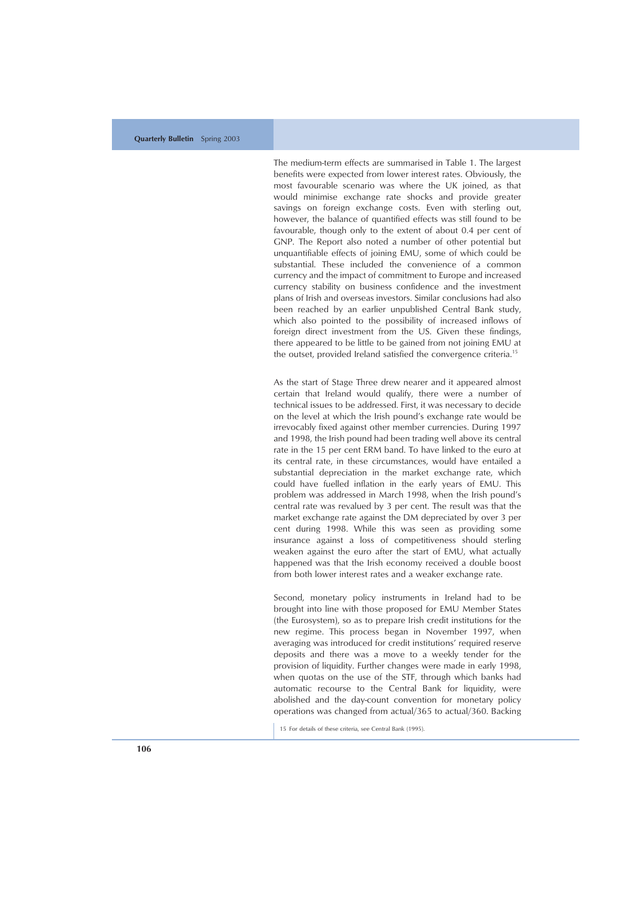The medium-term effects are summarised in Table 1. The largest benefits were expected from lower interest rates. Obviously, the most favourable scenario was where the UK joined, as that would minimise exchange rate shocks and provide greater savings on foreign exchange costs. Even with sterling out, however, the balance of quantified effects was still found to be favourable, though only to the extent of about 0.4 per cent of GNP. The Report also noted a number of other potential but unquantifiable effects of joining EMU, some of which could be substantial. These included the convenience of a common currency and the impact of commitment to Europe and increased currency stability on business confidence and the investment plans of Irish and overseas investors. Similar conclusions had also been reached by an earlier unpublished Central Bank study, which also pointed to the possibility of increased inflows of foreign direct investment from the US. Given these findings, there appeared to be little to be gained from not joining EMU at the outset, provided Ireland satisfied the convergence criteria.<sup>15</sup>

As the start of Stage Three drew nearer and it appeared almost certain that Ireland would qualify, there were a number of technical issues to be addressed. First, it was necessary to decide on the level at which the Irish pound 's exchange rate would be irrevocably fixed against other member currencies. During 1997 and 1998, the Irish pound had been trading well above its central rate in the 15 per cent ERM band. To have linked to the euro at its central rate, in these circumstances, would have entailed a substantial depreciation in the market exchange rate, which could have fuelled inflation in the early years of EMU. This problem was addressed in March 1998, when the Irish pound ' s central rate was revalued by 3 per cent. The result was that the market exchange rate against the DM depreciated by over 3 per cent during 1998. While this was seen as providing some insurance against a loss of competitiveness should sterling weaken against the euro after the start of EMU, what actually happened was that the Irish economy received a double boost from both lower interest rates and a weaker exchange rate.

Second, monetary policy instruments in Ireland had to be brought into line with those proposed for EMU Member States (the Eurosystem), so as to prepare Irish credit institutions for the new regime. This process began in November 1997, when averaging was introduced for credit institutions ' required reserve deposits and there was a move to a weekly tender for the provision of liquidity. Further changes were made in early 1998, when quotas on the use of the STF, through which banks had automatic recourse to the Central Bank for liquidity, were abolished and the day-count convention for monetary policy operations was changed from actual/365 to actual/360. Backing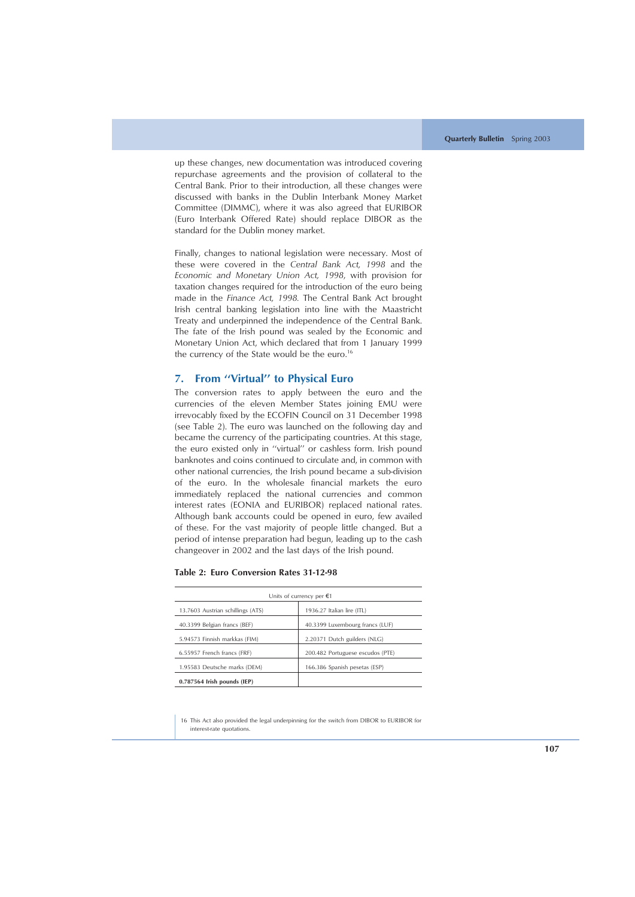up these changes, new documentation was introduced covering repurchase agreements and the provision of collateral to the Central Bank. Prior to their introduction, all these changes were discussed with banks in the Dublin Interbank Money Market Committee (DIMMC), where it was also agreed that EURIBOR (Euro Interbank Offered Rate) should replace DIBOR as the standard for the Dublin money market.

Finally, changes to national legislation were necessary. Most of these were covered in the *Central Bank Act, 1998* and the *Economic and Monetary Union Act, 1998*, with provision for taxation changes required for the introduction of the euro being made in the *Finance Act, 1998.* The Central Bank Act brought Irish central banking legislation into line with the Maastricht Treaty and underpinned the independence of the Central Bank. The fate of the Irish pound was sealed by the Economic and Monetary Union Act, which declared that from 1 January 1999 the currency of the State would be the euro.<sup>16</sup>

## **7. From ''Virtual'' to Physical Euro**

The conversion rates to apply between the euro and the currencies of the eleven Member States joining EMU were irrevocably fixed by the ECOFIN Council on 31 December 1998 (see Table 2). The euro was launched on the following day and became the currency of the participating countries. At this stage, the euro existed only in ''virtual'' or cashless form. Irish pound banknotes and coins continued to circulate and, in common with other national currencies, the Irish pound became a sub-division of the euro. In the wholesale financial markets the euro immediately replaced the national currencies and common interest rates (EONIA and EURIBOR) replaced national rates. Although bank accounts could be opened in euro, few availed of these. For the vast majority of people little changed. But a period of intense preparation had begun, leading up to the cash changeover in 2002 and the last days of the Irish pound.

|                                   | Units of currency per $\epsilon$ 1 |
|-----------------------------------|------------------------------------|
| 13.7603 Austrian schillings (ATS) | 1936.27 Italian lire (ITL)         |
| 40.3399 Belgian francs (BEF)      | 40.3399 Luxembourg francs (LUF)    |
| 5.94573 Finnish markkas (FIM)     | 2.20371 Dutch guilders (NLG)       |
| 6.55957 French francs (FRF)       | 200.482 Portuguese escudos (PTE)   |
| 1.95583 Deutsche marks (DEM)      | 166.386 Spanish pesetas (ESP)      |
| $0.787564$ Irish pounds (IEP)     |                                    |

**Table 2: Euro Conversion Rates 31-12-98**

16 This Act also provided the legal underpinning for the switch from DIBOR to EURIBOR for interest-rate quotations.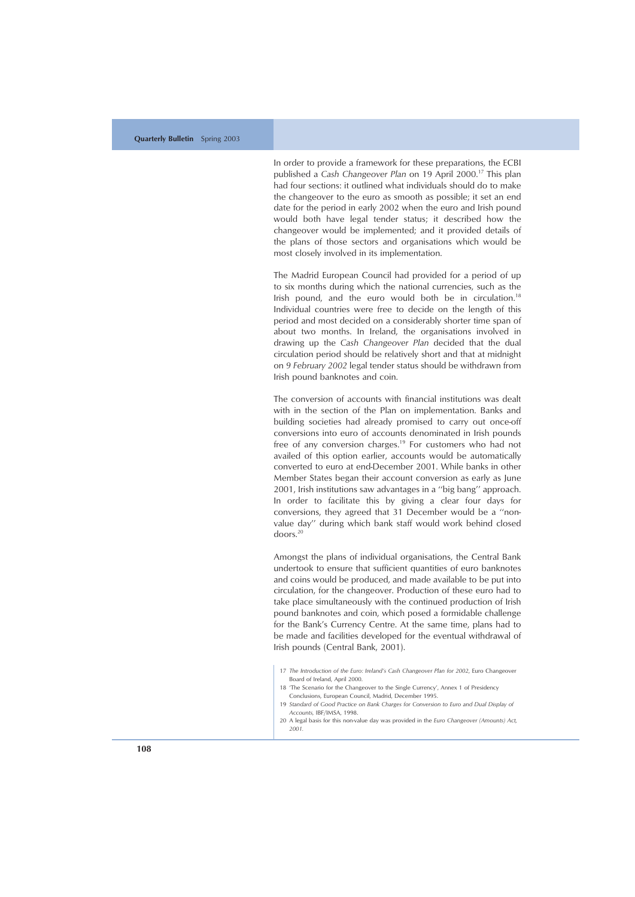In order to provide a framework for these preparations, the ECBI published a *Cash Changeover Plan* on 19 April 2000.17 This plan had four sections: it outlined what individuals should do to make the changeover to the euro as smooth as possible; it set an end date for the period in early 2002 when the euro and Irish pound would both have legal tender status; it described how the changeover would be implemented; and it provided details of the plans of those sectors and organisations which would be most closely involved in its implementation.

The Madrid European Council had provided for a period of up to six months during which the national currencies, such as the Irish pound, and the euro would both be in circulation.<sup>18</sup> Individual countries were free to decide on the length of this period and most decided on a considerably shorter time span of about two months. In Ireland, the organisations involved in drawing up the *Cash Changeover Plan* decided that the dual circulation period should be relatively short and that at midnight on *9 February 2002* legal tender status should be withdrawn from Irish pound banknotes and coin.

The conversion of accounts with financial institutions was dealt with in the section of the Plan on implementation. Banks and building societies had already promised to carry out once-off conversions into euro of accounts denominated in Irish pounds free of any conversion charges.<sup>19</sup> For customers who had not availed of this option earlier, accounts would be automatically converted to euro at end-December 2001. While banks in other Member States began their account conversion as early as June 2001, Irish institutions saw advantages in a ''big bang'' approach. In order to facilitate this by giving a clear four days for conversions, they agreed that 31 December would be a ''nonvalue day'' during which bank staff would work behind closed doors.20

Amongst the plans of individual organisations, the Central Bank undertook to ensure that sufficient quantities of euro banknotes and coins would be produced, and made available to be put into circulation, for the changeover. Production of these euro had to take place simultaneously with the continued production of Irish pound banknotes and coin, which posed a formidable challenge for the Bank 's Currency Centre. At the same time, plans had to be made and facilities developed for the eventual withdrawal of Irish pounds (Central Bank, 2001).

<sup>17</sup> *The Introduction of the Euro: Ireland's Cash Changeover Plan for 2002*, Euro Changeover Board of Ireland, April 2000.

<sup>18</sup> 'The Scenario for the Changeover to the Single Currency ', Annex 1 of Presidency Conclusions, European Council, Madrid, December 1995.

<sup>19</sup> *Standard of Good Practice on Bank Charges for Conversion to Euro and Dual Display of Accounts,* IBF/IMSA, 1998.

<sup>20</sup> A legal basis for this non-value day was provided in the *Euro Changeover (Amounts) Act, 2001.*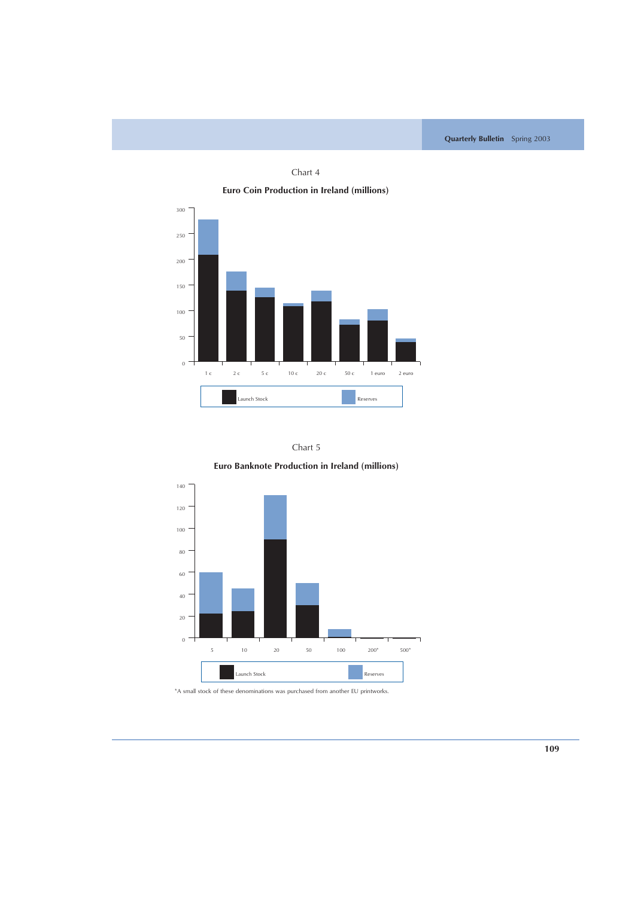

Chart 4



**Euro Banknote Production in Ireland (millions)**



\*A small stock of these denominations was purchased from another EU printworks.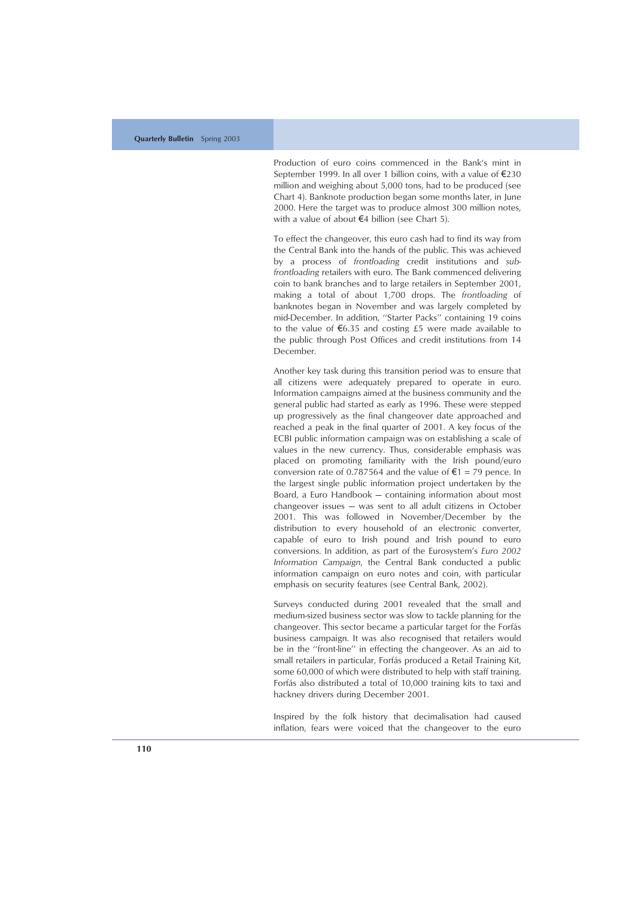Production of euro coins commenced in the Bank 's mint in September 1999. In all over 1 billion coins, with a value of €230 million and weighing about 5,000 tons, had to be produced (see Chart 4). Banknote production began some months later, in June 2000. Here the target was to produce almost 300 million notes, with a value of about  $\notin$  4 billion (see Chart 5).

To effect the changeover, this euro cash had to find its way from the Central Bank into the hands of the public. This was achieved by a process of *frontloading* credit institutions and *subfrontloading* retailers with euro. The Bank commenced delivering coin to bank branches and to large retailers in September 2001, making a total of about 1,700 drops. The *frontloading* of banknotes began in November and was largely completed by mid-December. In addition, ''Starter Packs'' containing 19 coins to the value of  $\epsilon$ 6.35 and costing £5 were made available to the public through Post Offices and credit institutions from 14 December.

Another key task during this transition period was to ensure that all citizens were adequately prepared to operate in euro. Information campaigns aimed at the business community and the general public had started as early as 1996. These were stepped up progressively as the final changeover date approached and reached a peak in the final quarter of 2001. A key focus of the ECBI public information campaign was on establishing a scale of values in the new currency. Thus, considerable emphasis was placed on promoting familiarity with the Irish pound/euro conversion rate of 0.787564 and the value of  $\epsilon$ 1 = 79 pence. In the largest single public information project undertaken by the Board, a Euro Handbook — containing information about most changeover issues — was sent to all adult citizens in October 2001. This was followed in November/December by the distribution to every household of an electronic converter, capable of euro to Irish pound and Irish pound to euro conversions. In addition, as part of the Eurosystem ' s *Euro 2002 Information Campaign*, the Central Bank conducted a public information campaign on euro notes and coin, with particular emphasis on security features (see Central Bank, 2002).

Surveys conducted during 2001 revealed that the small and medium-sized business sector was slow to tackle planning for the changeover. This sector became a particular target for the Forfás business campaign. It was also recognised that retailers would be in the ''front-line'' in effecting the changeover. As an aid to small retailers in particular, Forfás produced a Retail Training Kit, some 60,000 of which were distributed to help with staff training. Forfás also distributed a total of 10,000 training kits to taxi and hackney drivers during December 2001.

Inspired by the folk history that decimalisation had caused inflation, fears were voiced that the changeover to the euro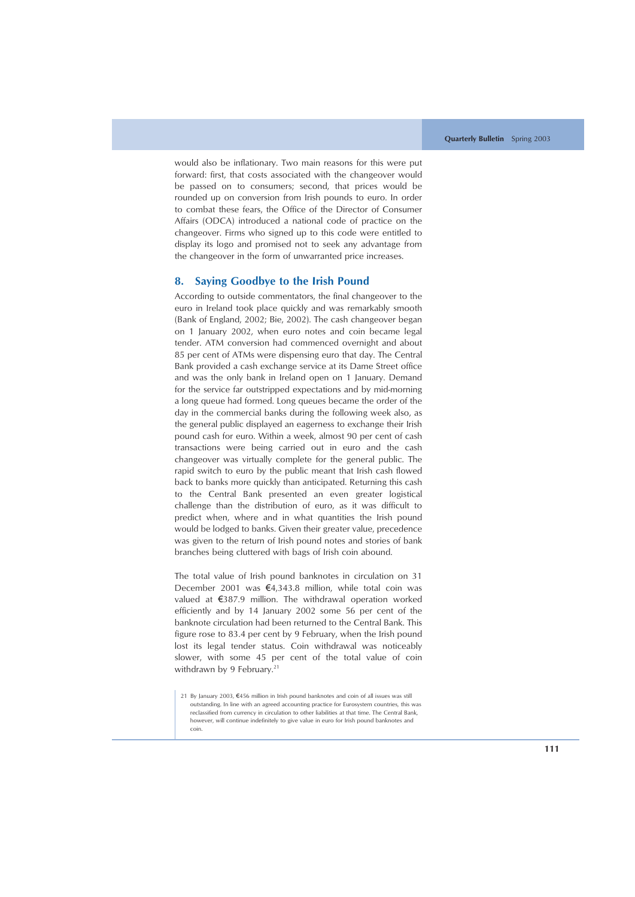would also be inflationary. Two main reasons for this were put forward: first, that costs associated with the changeover would be passed on to consumers; second, that prices would be rounded up on conversion from Irish pounds to euro. In order to combat these fears, the Office of the Director of Consumer Affairs (ODCA) introduced a national code of practice on the changeover. Firms who signed up to this code were entitled to display its logo and promised not to seek any advantage from the changeover in the form of unwarranted price increases.

## **8. Saying Goodbye to the Irish Pound**

According to outside commentators, the final changeover to the euro in Ireland took place quickly and was remarkably smooth (Bank of England, 2002; Bie, 2002). The cash changeover began on 1 January 2002, when euro notes and coin became legal tender. ATM conversion had commenced overnight and about 85 per cent of ATMs were dispensing euro that day. The Central Bank provided a cash exchange service at its Dame Street office and was the only bank in Ireland open on 1 January. Demand for the service far outstripped expectations and by mid-morning a long queue had formed. Long queues became the order of the day in the commercial banks during the following week also, as the general public displayed an eagerness to exchange their Irish pound cash for euro. Within a week, almost 90 per cent of cash transactions were being carried out in euro and the cash changeover was virtually complete for the general public. The rapid switch to euro by the public meant that Irish cash flowed back to banks more quickly than anticipated. Returning this cash to the Central Bank presented an even greater logistical challenge than the distribution of euro, as it was difficult to predict when, where and in what quantities the Irish pound would be lodged to banks. Given their greater value, precedence was given to the return of Irish pound notes and stories of bank branches being cluttered with bags of Irish coin abound.

The total value of Irish pound banknotes in circulation on 31 December 2001 was  $\epsilon$ 4,343.8 million, while total coin was valued at  $\epsilon$ 387.9 million. The withdrawal operation worked efficiently and by 14 January 2002 some 56 per cent of the banknote circulation had been returned to the Central Bank. This figure rose to 83.4 per cent by 9 February, when the Irish pound lost its legal tender status. Coin withdrawal was noticeably slower, with some 45 per cent of the total value of coin withdrawn by 9 February.<sup>21</sup>

<sup>21</sup> By January 2003, €456 million in Irish pound banknotes and coin of all issues was still outstanding. In line with an agreed accounting practice for Eurosystem countries, this was reclassified from currency in circulation to other liabilities at that time. The Central Bank, however, will continue indefinitely to give value in euro for Irish pound banknotes and coin.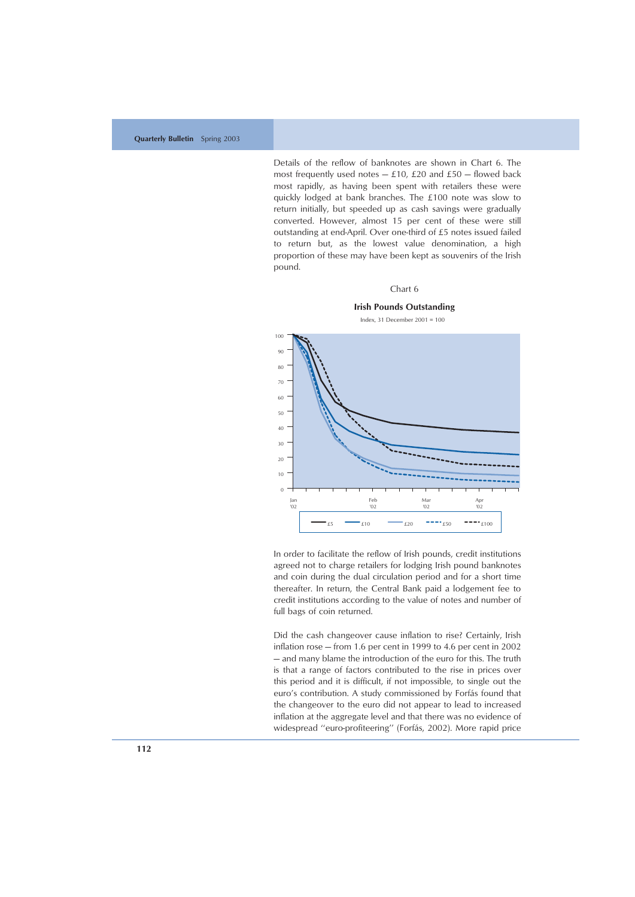Details of the reflow of banknotes are shown in Chart 6. The most frequently used notes  $-$  £10, £20 and £50  $-$  flowed back most rapidly, as having been spent with retailers these were quickly lodged at bank branches. The £100 note was slow to return initially, but speeded up as cash savings were gradually converted. However, almost 15 per cent of these were still outstanding at end-April. Over one-third of £5 notes issued failed to return but, as the lowest value denomination, a high proportion of these may have been kept as souvenirs of the Irish pound.

#### Chart 6



**Irish Pounds Outstanding**

In order to facilitate the reflow of Irish pounds, credit institutions agreed not to charge retailers for lodging Irish pound banknotes and coin during the dual circulation period and for a short time thereafter. In return, the Central Bank paid a lodgement fee to credit institutions according to the value of notes and number of full bags of coin returned.

Did the cash changeover cause inflation to rise? Certainly, Irish inflation rose — from 1.6 per cent in 1999 to 4.6 per cent in 2002 — and many blame the introduction of the euro for this. The truth is that a range of factors contributed to the rise in prices over this period and it is difficult, if not impossible, to single out the euro's contribution. A study commissioned by Forfás found that the changeover to the euro did not appear to lead to increased inflation at the aggregate level and that there was no evidence of widespread "euro-profiteering" (Forfás, 2002). More rapid price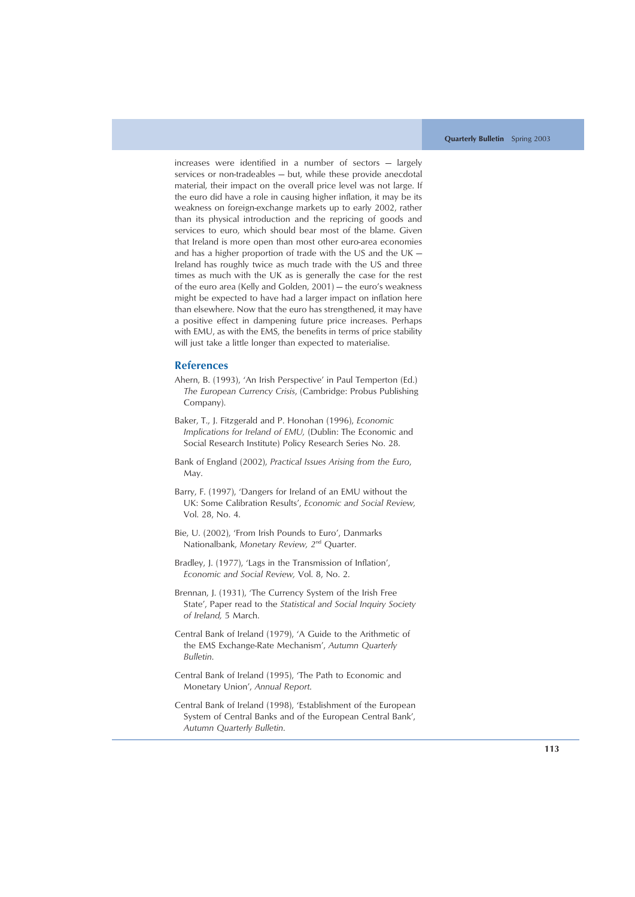increases were identified in a number of sectors — largely services or non-tradeables — but, while these provide anecdotal material, their impact on the overall price level was not large. If the euro did have a role in causing higher inflation, it may be its weakness on foreign-exchange markets up to early 2002, rather than its physical introduction and the repricing of goods and services to euro, which should bear most of the blame. Given that Ireland is more open than most other euro-area economies and has a higher proportion of trade with the US and the UK — Ireland has roughly twice as much trade with the US and three times as much with the UK as is generally the case for the rest of the euro area (Kelly and Golden, 2001) — the euro's weakness might be expected to have had a larger impact on inflation here than elsewhere. Now that the euro has strengthened, it may have a positive effect in dampening future price increases. Perhaps with EMU, as with the EMS, the benefits in terms of price stability will just take a little longer than expected to materialise.

## **References**

- Ahern, B. (1993), 'An Irish Perspective' in Paul Temperton (Ed.) *The European Currency Crisis*, (Cambridge: Probus Publishing Company).
- Baker, T., J. Fitzgerald and P. Honohan (1996), *Economic Implications for Ireland of EMU,* (Dublin: The Economic and Social Research Institute) Policy Research Series No. 28.
- Bank of England (2002), *Practical Issues Arising from the Euro*, May.
- Barry, F. (1997), 'Dangers for Ireland of an EMU without the UK: Some Calibration Results', *Economic and Social Review,* Vol. 28, No. 4.
- Bie, U. (2002), 'From Irish Pounds to Euro', Danmarks Nationalbank, *Monetary Review, 2*nd Quarter.
- Bradley, J. (1977), 'Lags in the Transmission of Inflation', *Economic and Social Review,* Vol. 8, No. 2.
- Brennan, J. (1931), 'The Currency System of the Irish Free State', Paper read to the *Statistical and Social Inquiry Society of Ireland,* 5 March.
- Central Bank of Ireland (1979), 'A Guide to the Arithmetic of the EMS Exchange-Rate Mechanism', *Autumn Quarterly Bulletin*.
- Central Bank of Ireland (1995), 'The Path to Economic and Monetary Union', *Annual Report*.
- Central Bank of Ireland (1998), 'Establishment of the European System of Central Banks and of the European Central Bank', *Autumn Quarterly Bulletin*.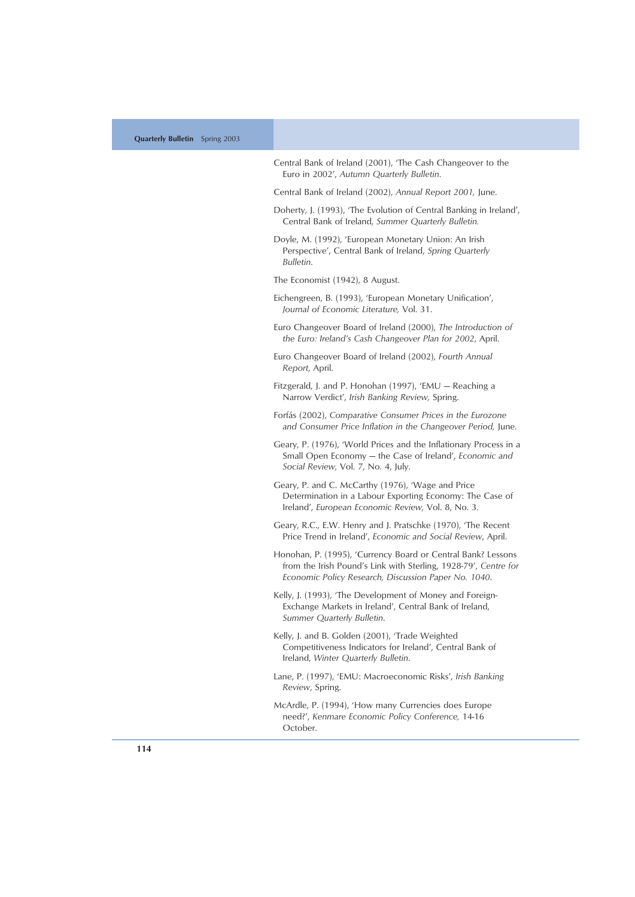| Central Bank of Ireland (2001), 'The Cash Changeover to the<br>Euro in 2002', Autumn Quarterly Bulletin.                                                                                |
|-----------------------------------------------------------------------------------------------------------------------------------------------------------------------------------------|
| Central Bank of Ireland (2002), Annual Report 2001, June.                                                                                                                               |
| Doherty, J. (1993), 'The Evolution of Central Banking in Ireland',<br>Central Bank of Ireland, Summer Quarterly Bulletin.                                                               |
| Doyle, M. (1992), 'European Monetary Union: An Irish<br>Perspective', Central Bank of Ireland, Spring Quarterly<br>Bulletin.                                                            |
| The Economist (1942), 8 August.                                                                                                                                                         |
| Eichengreen, B. (1993), 'European Monetary Unification',<br>Journal of Economic Literature, Vol. 31.                                                                                    |
| Euro Changeover Board of Ireland (2000), The Introduction of<br>the Euro: Ireland's Cash Changeover Plan for 2002, April.                                                               |
| Euro Changeover Board of Ireland (2002), Fourth Annual<br>Report, April.                                                                                                                |
| Fitzgerald, J. and P. Honohan (1997), 'EMU – Reaching a<br>Narrow Verdict', Irish Banking Review, Spring.                                                                               |
| Forfás (2002), Comparative Consumer Prices in the Eurozone<br>and Consumer Price Inflation in the Changeover Period, June.                                                              |
| Geary, P. (1976), 'World Prices and the Inflationary Process in a<br>Small Open Economy - the Case of Ireland', Economic and<br>Social Review, Vol. 7, No. 4, July.                     |
| Geary, P. and C. McCarthy (1976), 'Wage and Price<br>Determination in a Labour Exporting Economy: The Case of<br>Ireland', European Economic Review, Vol. 8, No. 3.                     |
| Geary, R.C., E.W. Henry and J. Pratschke (1970), 'The Recent<br>Price Trend in Ireland', Economic and Social Review, April.                                                             |
| Honohan, P. (1995), 'Currency Board or Central Bank? Lessons<br>from the Irish Pound's Link with Sterling, 1928-79', Centre for<br>Economic Policy Research, Discussion Paper No. 1040. |
| Kelly, J. (1993), 'The Development of Money and Foreign-<br>Exchange Markets in Ireland', Central Bank of Ireland,<br>Summer Quarterly Bulletin.                                        |
| Kelly, J. and B. Golden (2001), 'Trade Weighted<br>Competitiveness Indicators for Ireland', Central Bank of<br>Ireland, Winter Quarterly Bulletin.                                      |
| Lane, P. (1997), 'EMU: Macroeconomic Risks', Irish Banking<br>Review, Spring.                                                                                                           |
| McArdle, P. (1994), 'How many Currencies does Europe<br>need?', Kenmare Economic Policy Conference, 14-16                                                                               |

October.